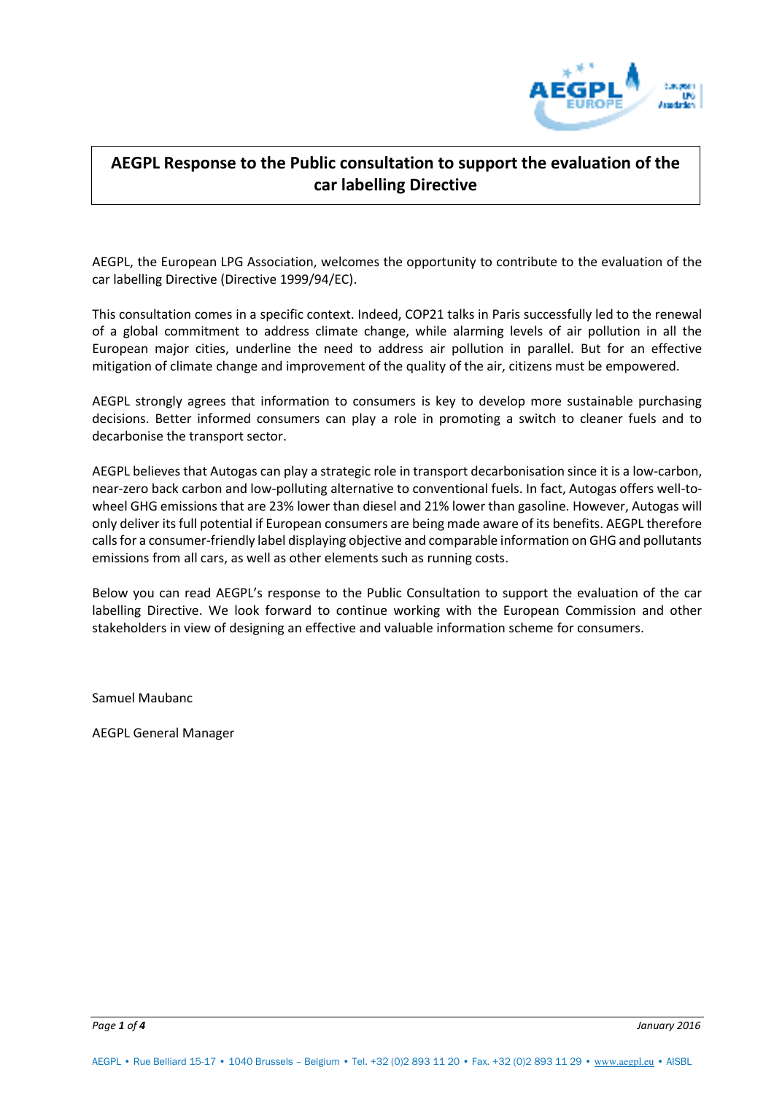

## **AEGPL Response to the Public consultation to support the evaluation of the car labelling Directive**

AEGPL, the European LPG Association, welcomes the opportunity to contribute to the evaluation of the car labelling Directive (Directive 1999/94/EC).

This consultation comes in a specific context. Indeed, COP21 talks in Paris successfully led to the renewal of a global commitment to address climate change, while alarming levels of air pollution in all the European major cities, underline the need to address air pollution in parallel. But for an effective mitigation of climate change and improvement of the quality of the air, citizens must be empowered.

AEGPL strongly agrees that information to consumers is key to develop more sustainable purchasing decisions. Better informed consumers can play a role in promoting a switch to cleaner fuels and to decarbonise the transport sector.

AEGPL believes that Autogas can play a strategic role in transport decarbonisation since it is a low-carbon, near-zero back carbon and low-polluting alternative to conventional fuels. In fact, Autogas offers well-towheel GHG emissions that are 23% lower than diesel and 21% lower than gasoline. However, Autogas will only deliver its full potential if European consumers are being made aware of its benefits. AEGPL therefore calls for a consumer-friendly label displaying objective and comparable information on GHG and pollutants emissions from all cars, as well as other elements such as running costs.

Below you can read AEGPL's response to the Public Consultation to support the evaluation of the car labelling Directive. We look forward to continue working with the European Commission and other stakeholders in view of designing an effective and valuable information scheme for consumers.

Samuel Maubanc

AEGPL General Manager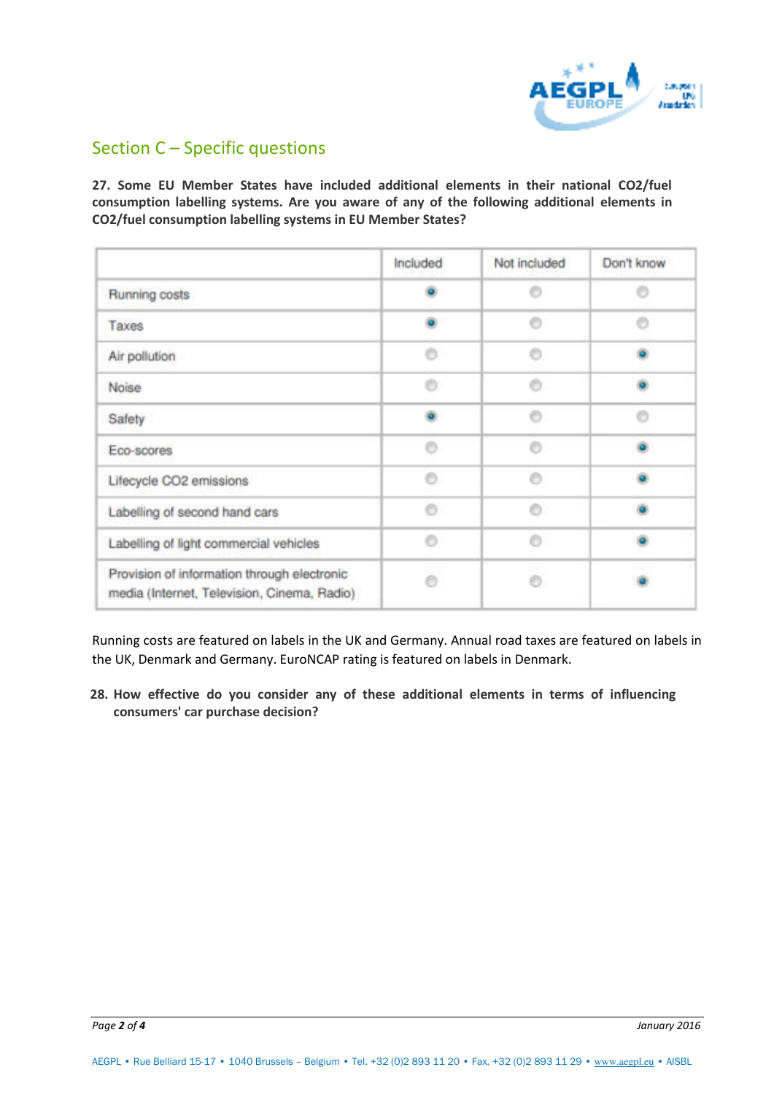

# Section C – Specific questions

**27. Some EU Member States have included additional elements in their national CO2/fuel consumption labelling systems. Are you aware of any of the following additional elements in CO2/fuel consumption labelling systems in EU Member States?**

|                                                                                            | Included | Not included | Don't know |
|--------------------------------------------------------------------------------------------|----------|--------------|------------|
| Running costs                                                                              | o.       | e            | Ð          |
| Taxes                                                                                      |          | Ø)           | e          |
| Air pollution                                                                              | Õ        | m            |            |
| Noise                                                                                      | Õ        | Ô            |            |
| Safety                                                                                     | ö.       | Õ            | Õ          |
| Eco-scores                                                                                 | O.       | Õ            | ö.         |
| Lifecycle CO2 emissions                                                                    | e        | m            |            |
| Labelling of second hand cars                                                              | e        | Ø.           |            |
| Labelling of light commercial vehicles                                                     | Ō        | Ō            |            |
| Provision of information through electronic<br>media (Internet, Television, Cinema, Radio) | e        | Ø)           |            |

Running costs are featured on labels in the UK and Germany. Annual road taxes are featured on labels in the UK, Denmark and Germany. EuroNCAP rating is featured on labels in Denmark.

**28. How effective do you consider any of these additional elements in terms of influencing consumers' car purchase decision?**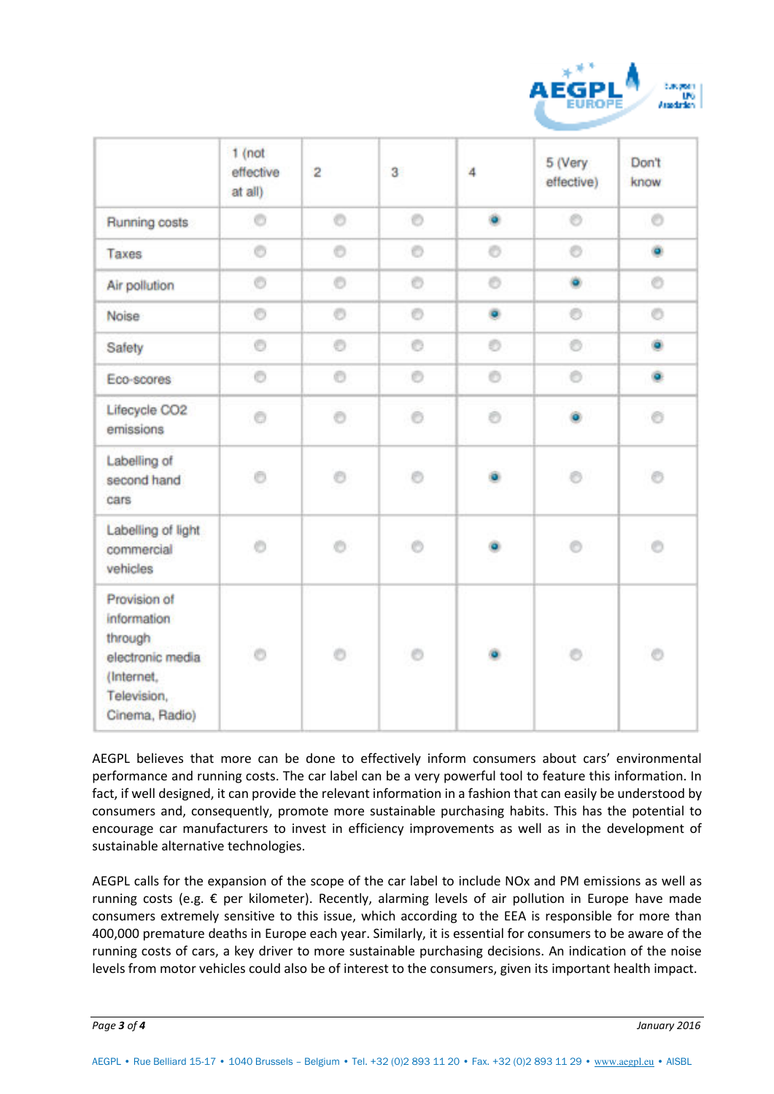

|                                                                                                           | $1$ (not<br>effective<br>at all) | $\overline{\mathbf{2}}$ | 3 <sup>°</sup> | 4 | 5 (Very<br>effective) | Don't<br>know |
|-----------------------------------------------------------------------------------------------------------|----------------------------------|-------------------------|----------------|---|-----------------------|---------------|
| Running costs                                                                                             | Ō                                | O                       | O              | ۰ | Ó                     | $\circ$       |
| Taxes                                                                                                     | O                                | O                       | O              | Ō | Ō                     | ۰             |
| Air pollution                                                                                             | Ō                                | O                       | O              | O | ۰                     | Õ             |
| Noise                                                                                                     | Ō                                | O                       | O              | ۰ | ø                     | O             |
| Safety                                                                                                    | $\circ$                          | Ō                       | Ö              | Ø | Ö                     | ۵             |
| Eco-scores                                                                                                | $\circ$                          | O                       | O              | Õ | ö                     | ö.            |
| Lifecycle CO2<br>emissions                                                                                | ō                                | Ō                       | Õ.             | Ō | ö.                    | Õ             |
| Labelling of<br>second hand<br>cars                                                                       | Ō                                | ø                       | Õ              |   | ö                     | $\circ$       |
| Labelling of light<br>commercial<br>vehicles                                                              | Ö                                | Õ.                      | Ó              |   | $\odot$               | Ó             |
| Provision of<br>information<br>through<br>electronic media<br>(Internet,<br>Television,<br>Cinema, Radio) | O                                | O                       | O              |   | e.                    | $\circ$       |

AEGPL believes that more can be done to effectively inform consumers about cars' environmental performance and running costs. The car label can be a very powerful tool to feature this information. In fact, if well designed, it can provide the relevant information in a fashion that can easily be understood by consumers and, consequently, promote more sustainable purchasing habits. This has the potential to encourage car manufacturers to invest in efficiency improvements as well as in the development of sustainable alternative technologies.

AEGPL calls for the expansion of the scope of the car label to include NOx and PM emissions as well as running costs (e.g. € per kilometer). Recently, alarming levels of air pollution in Europe have made consumers extremely sensitive to this issue, which according to the EEA is responsible for more than 400,000 premature deaths in Europe each year. Similarly, it is essential for consumers to be aware of the running costs of cars, a key driver to more sustainable purchasing decisions. An indication of the noise levels from motor vehicles could also be of interest to the consumers, given its important health impact.